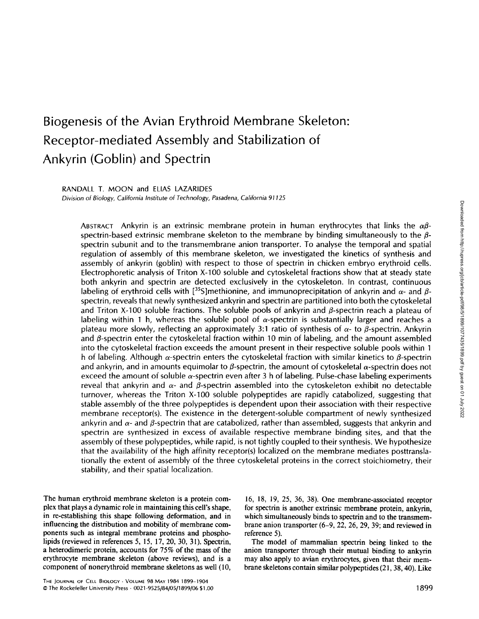# Biogenesis of the Avian Erythroid Membrane Skeleton: Receptor-mediated Assembly and Stabilization of Ankyrin (Goblin) and Spectrin

RANDALL T. MOON and ELIAS LAZARIDES

Division of Biology, California Institute of Technology, Pasadena, California 91125

ABSTRACT Ankyrin is an extrinsic membrane protein in human erythrocytes that links the  $\alpha\beta$ spectrin-based extrinsic membrane skeleton to the membrane by binding simultaneously to the  $\beta$ spectrin subunit and to the transmembrane anion transporter. To analyse the temporal and spatial regulation of assembly of this membrane skeleton, we investigated the kinetics of synthesis and assembly of ankyrin (goblin) with respect to those of spectrin in chicken embryo erythroid cells. Electrophoretic analysis of Triton X-100 soluble and cytoskeletal fractions show that at steady state both ankyrin and spectrin are detected exclusively in the cytoskeleton . In contrast, continuous labeling of erythroid cells with  $\left[355\right]$ methionine, and immunoprecipitation of ankyrin and  $\alpha$ - and  $\beta$ spectrin, reveals that newly synthesized ankyrin and spectrin are partitioned into both the cytoskeletal and Triton X-100 soluble fractions. The soluble pools of ankyrin and  $\beta$ -spectrin reach a plateau of labeling within 1 h, whereas the soluble pool of  $\alpha$ -spectrin is substantially larger and reaches a plateau more slowly, reflecting an approximately 3:1 ratio of synthesis of  $\alpha$ - to  $\beta$ -spectrin. Ankyrin and  $\beta$ -spectrin enter the cytoskeletal fraction within 10 min of labeling, and the amount assembled into the cytoskeletal fraction exceeds the amount present in their respective soluble pools within <sup>1</sup> h of labeling. Although  $\alpha$ -spectrin enters the cytoskeletal fraction with similar kinetics to  $\beta$ -spectrin and ankyrin, and in amounts equimolar to  $\beta$ -spectrin, the amount of cytoskeletal  $\alpha$ -spectrin does not exceed the amount of soluble  $\alpha$ -spectrin even after 3 h of labeling. Pulse-chase labeling experiments reveal that ankyrin and  $\alpha$ - and  $\beta$ -spectrin assembled into the cytoskeleton exhibit no detectable turnover, whereas the Triton X-100 soluble polypeptides are rapidly catabolized, suggesting that stable assembly of the three polypeptides is dependent upon their association with their respective membrane receptor(s). The existence in the detergent-soluble compartment of newly synthesized ankyrin and  $\alpha$ - and  $\beta$ -spectrin that are catabolized, rather than assembled, suggests that ankyrin and spectrin are synthesized in excess of available respective membrane binding sites, and that the assembly of these polypeptides, while rapid, is not tightly coupled to their synthesis. We hypothesize that the availability of the high affinity receptor(s) localized on the membrane mediates posttranslationally the extent of assembly of the three cytoskeletal proteins in the correct stoichiometry, their stability, and their spatial localization.

The human erythroid membrane skeleton is a protein complex that plays a dynamic role in maintaining this cell's shape, in re-establishing this shape following deformation, and in influencing the distribution and mobility of membrane components such as integral membrane proteins and phospholipids (reviewed in references 5, 15, 17, 20, 30, 31) . Spectrin, a heterodimeric protein, accounts for 75% of the mass of the erythrocyte membrane skeleton (above reviews), and is a component of nonerythroid membrane skeletons as well (10,

16, 18, 19, 25, 36, 38) . One membrane-associated receptor for spectrin is another extrinsic membrane protein, ankyrin, which simultaneously binds to spectrin and to the transmembrane anion transporter (6-9, 22, 26, 29, 39; and reviewed in reference 5).

The model of mammalian spectrin being linked to the anion transporter through their mutual binding to ankyrin may also apply to avian erythrocytes, given that their membrane skeletons contain similar polypeptides (21, 38, 40) . Like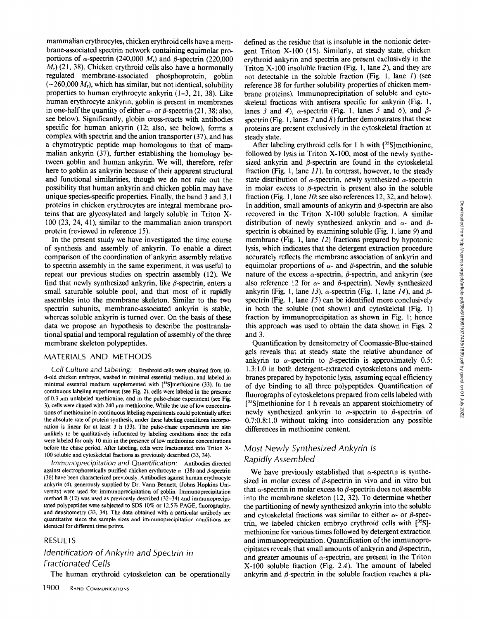mammalian erythrocytes, chicken erythroid cells have <sup>a</sup> membrane-associated spectrin network containing equimolar pro portions of  $\alpha$ -spectrin (240,000  $M_r$ ) and  $\beta$ -spectrin (220,000  $M<sub>r</sub>$ ) (21, 38). Chicken erythroid cells also have a hormonally regulated membrane-associated phosphoprotein, goblin  $(\sim 260,000 M_r)$ , which has similar, but not identical, solubility properties to human erythrocyte ankyrin (1-3, 21, 38) . Like human erythrocyte ankyrin, goblin is present in membranes in one-half the quantity of either  $\alpha$ - or  $\beta$ -spectrin (21, 38; also, see below). Significantly, globin cross-reacts with antibodies specific for human ankyrin (12; also, see below), forms a complex with spectrin and the anion transporter (37), and has a chymotryptic peptide map homologous to that of mammalian ankyrin (37), further establishing the homology between goblin and human ankyrin. We will, therefore, refer here to goblin as ankyrin because of their apparent structural and functional similarities, though we do not rule out the possibility that human ankyrin and chicken goblin may have unique species-specific properties. Finally, the band <sup>3</sup> and <sup>3</sup> .1 proteins in chicken erythrocytes are integral membrane proteins that are glycosylated and largely soluble in Triton X-100 (23, 24, 41), similar to the mammalian anion transport protein (reviewed in reference 15).

In the present study we have investigated the time course of synthesis and assembly of ankyrin . To enable a direct comparison of the coordination of ankyrin assembly relative to spectrin assembly in the same experiment, it was useful to repeat our previous studies on spectrin assembly (12). We find that newly synthesized ankyrin, like  $\beta$ -spectrin, enters a small saturable soluble pool, and that most of it rapidly assembles into the membrane skeleton. Similar to the two spectrin subunits, membrane-associated ankyrin is stable, whereas soluble ankyrin is turned over. On the basis of these data we propose an hypothesis to describe the posttranslational spatial and temporal regulation of assembly of the three membrane skeleton polypeptides .

#### MATERIALS AND METHODS

Cell Culture and Labeling: Erythroid cells were obtained from 10d-old chicken embryos, washed in minimal essential medium, and labeled in minimal essential medium supplemented with  $[^{35}S]$ methionine (33). In the continuous labeling experiment (see Fig. 2), cells were labeled in the presence of  $0.3 \mu$ m unlabeled methionine, and in the pulse-chase experiment (see Fig. 3), cells were chased with 240  $\mu$ m methionine. While the use of low concentrations of methionine in continuous labeling experiments could potentially affect the absolute rate of protein synthesis, under these labeling conditions incorporation is linear for at least 3 h (33). The pulse-chase experiments are also unlikely to be qualitatively influenced by labeling conditions since the cells were labeled for only <sup>10</sup> min in the presence of low methionine concentrations before the chase period. After labeling, cells were fractionated into Triton X-100 soluble and cytoskeletal fractions as previously described (33, 34).

Immunoprecipitation and Quantification: Antibodies directed against electrophoretically purified chicken erythrocyte  $\alpha$ - (38) and  $\beta$ -spectrin (36) have been characterized previously. Antibodies against human erythrocyte ankyrin (4), generously supplied by Dr. Vann Bennett, (Johns Hopkins University) were used for immunoprecipitation of goblin. Immunoprecipitation method B (12) was used as previously described (32-34) and immunoprecipitated polypeptides were subjected to SDS 10% or <sup>12</sup> .5% PAGE, fluorography, and densitometry (33, 34). The data obtained with a particular antibody are quantitative since the sample sizes and immunoprecipitation conditions are identical for different time points.

#### RESULTS

# Identification of Ankyrin and Spectrin in Fractionated Cells

The human erythroid cytoskeleton can be operationally

defined as the residue that is insoluble in the nonionic detergent Triton X-100 (15) . Similarly, at steady state, chicken erythroid ankyrin and spectrin are present exclusively in the Triton X-100 insoluble fraction (Fig. 1, lane 2), and they are not detectable in the soluble fraction (Fig. 1, lane 1) (see reference <sup>38</sup> for further solubility properties of chicken membrane proteins) . Immunoprecipitation of soluble and cytoskeletal fractions with antisera specific for ankyrin (Fig. 1, lanes 3 and 4),  $\alpha$ -spectrin (Fig. 1, lanes 5 and 6), and  $\beta$ spectrin (Fig. 1, lanes  $7$  and  $8$ ) further demonstrates that these proteins are present exclusively in the cytoskeletal fraction at steady state.

After labeling erythroid cells for 1 h with  $[35S]$ methionine, followed by lysis in Triton X-100, most of the newly synthesized ankyrin and  $\beta$ -spectrin are found in the cytoskeletal fraction (Fig. 1, lane  $11$ ). In contrast, however, to the steady state distribution of  $\alpha$ -spectrin, newly synthesized  $\alpha$ -spectrin in molar excess to  $\beta$ -spectrin is present also in the soluble fraction (Fig. l, lane 10; see also references 12, 32, and below). In addition, small amounts of ankyrin and  $\beta$ -spectrin are also recovered in the Triton X-100 soluble fraction . A similar distribution of newly synthesized ankyrin and  $\alpha$ - and  $\beta$ spectrin is obtained by examining soluble (Fig. 1, lane  $9$ ) and membrane (Fig. 1, lane 12) fractions prepared by hypotonic lysis, which indicates that the detergent extraction procedure accurately reflects the membrane association of ankyrin and equimolar proportions of  $\alpha$ - and  $\beta$ -spectrin, and the soluble nature of the excess  $\alpha$ -spectrin,  $\beta$ -spectrin, and ankyrin (see also reference 12 for  $\alpha$ - and  $\beta$ -spectrin). Newly synthesized ankyrin (Fig. 1, lane 13),  $\alpha$ -spectrin (Fig. 1, lane 14), and  $\beta$ spectrin (Fig. 1, lane 15) can be identified more conclusively in both the soluble (not shown) and cytoskeletal (Fig. 1) fraction by immunoprecipitation as shown in Fig. 1; hence this approach was used to obtain the data shown in Figs. 2 and 3.

Quantification by densitometry of Coomassie-Blue-stained gels reveals that at steady state the relative abundance of ankyrin to  $\alpha$ -spectrin to  $\beta$ -spectrin is approximately 0.5: 1.3:1.0 in both detergent-extracted cytoskeletons and membranes prepared by hypotonic lysis, assuming equal efficiency of dye binding to all three polypeptides . Quantification of fluorographs of cytoskeletons prepared from cells labeled with [<sup>35</sup>S]methionine for 1 h reveals an apparent stoichiometry of newly synthesized ankyrin to  $\alpha$ -spectrin to  $\beta$ -spectrin of 0.7:0.8:1.0 without taking into consideration any possible differences in methionine content.

#### Most Newly Synthesized Ankyrin Is Rapidly Assembled

We have previously established that  $\alpha$ -spectrin is synthesized in molar excess of  $\beta$ -spectrin in vivo and in vitro but that  $\alpha$ -spectrin in molar excess to  $\beta$ -spectrin does not assemble into the membrane skeleton (12, 32). To determine whether the partitioning of newly synthesized ankyrin into the soluble and cytoskeletal fractions was similar to either  $\alpha$ - or  $\beta$ -spectrin, we labeled chicken embryo erythroid cells with [35S] methionine for various times followed by detergent extraction and immunoprecipitation. Quantification of the immunoprecipitates reveals that small amounts of ankyrin and  $\beta$ -spectrin, and greater amounts of  $\alpha$ -spectrin, are present in the Triton X-100 soluble fraction (Fig. 2A). The amount of labeled ankyrin and  $\beta$ -spectrin in the soluble fraction reaches a pla-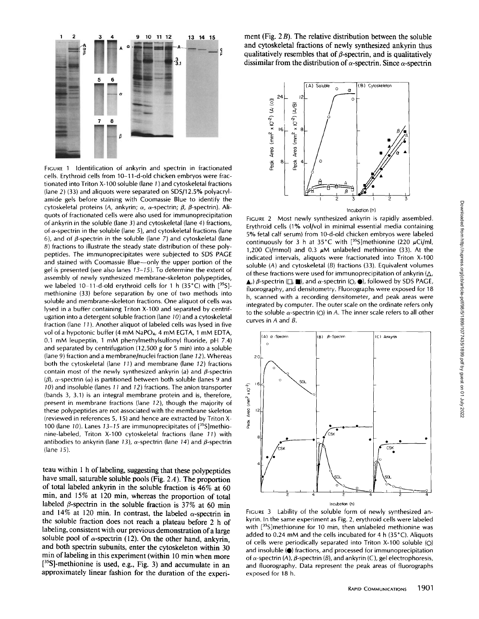

FIGURE 1 Identification of ankyrin and spectrin in fractionated  $\begin{bmatrix} 8 & 1 \end{bmatrix}$ cells. Erythroid cells from 10-11-d-old chicken embryos were fractionated into Triton X-100 soluble (lane 1) and cytoskeletal fractions (lane 2) (33) and aliquots were separated on SDS/12 .5% polyacrylamide gels before staining with Coomassie Blue to identify the cytoskeletal proteins (A, ankyrin;  $\alpha$ ,  $\alpha$ -spectrin;  $\beta$ ,  $\beta$ -spectrin). Aliquots of fractionated cells were also used for immunoprecipitation ofankyrin in the soluble (lane 3) and cytoskeletal (lane 4) fractions, of  $\alpha$ -spectrin in the soluble (lane 5), and cytoskeletal fractions (lane 6), and of  $\beta$ -spectrin in the soluble (lane 7) and cytoskeletal (lane 8) fractions to illustrate the steady state distribution of these polypeptides. The immunoprecipitates were subjected to SDS PAGE and stained with Coomassie Blue-only the upper portion of the gel is presented (see also lanes  $13-15$ ). To determine the extent of assembly of newly synthesized membrane-skeleton polypeptides, we labeled 10-11-d-old erythroid cells for 1 h  $(35^{\circ}C)$  with  $[^{35}S]$ methionine (33) before separation by one of two methods into soluble and membrane-skeleton fractions . One aliquot of cells was lysed in a buffer containing Triton X-100 and separated by centrifugation into a detergent soluble fraction (lane 10) and a cytoskeletal fraction (lane 11) . Another aliquot of labeled cells was lysed in five vol of a hypotonic buffer (4 mM NaPO<sub>4</sub>, 4 mM EGTA, 1 mM EDTA, 0.1 mM leupeptin, <sup>1</sup> mM phenylmethylsulfonyl fluoride, pH 7.4) and separated by centrifugation (12,500 g for 5 min) into <sup>a</sup> soluble (lane 9) fraction and <sup>a</sup> membrane/nuclei fraction (lane 12) . Whereas both the cytoskeletal (lane 11) and membrane (lane 12) fractions contain most of the newly synthesized ankyrin (a) and  $\beta$ -spectrin  $(\beta)$ ,  $\alpha$ -spectrin ( $\alpha$ ) is partitioned between both soluble (lanes 9 and 10) and insoluble (lanes 11 and 12) fractions . The anion transporter (bands 3, 3.1) is an integral membrane protein and is, therefore, present in membrane fractions (lane 12), though the majority of these polypeptides are not associated with the membrane skeleton (reviewed in references 5, 15) and hence are extracted by Triton X-100 (lane 10). Lanes 13-15 are immunoprecipitates of  $[^{35}S]$ methionine-labeled, Triton X-100 cytoskeletal fractions (lane 71) with antibodies to ankyrin (lane 13),  $\alpha$ -spectrin (lane 14) and  $\beta$ -spectrin (lane 15) .

teau within <sup>1</sup> h of labeling, suggesting that these polypeptides have small, saturable soluble pools (Fig. 2A). The proportion of total labeled ankyrin in the soluble fraction is 46% at 60 min, and 15% at 120 min, whereas the proportion of total labeled  $\beta$ -spectrin in the soluble fraction is 37% at 60 min and 14% at 120 min. In contrast, the labeled  $\alpha$ -spectrin in the soluble fraction does not reach a plateau before 2 h of labeling, consistent with our previous demonstration of a large soluble pool of  $\alpha$ -spectrin (12). On the other hand, ankyrin, and both spectrin subunits, enter the cytoskeleton within 30 min of labeling in this experiment (within 10 min when more  $[35S]$ -methionine is used, e.g., Fig. 3) and accumulate in an approximately linear fashion for the duration of the experiment (Fig.  $2B$ ). The relative distribution between the soluble and cytoskeletal fractions of newly synthesized ankyrin thus qualitatively resembles that of  $\beta$ -spectrin, and is qualitatively dissimilar from the distribution of  $\alpha$ -spectrin. Since  $\alpha$ -spectrin



FIGURE 2 Most newly synthesized ankyrin is rapidly assembled. Erythroid cells (1% vol/vol in minimal essential media containing 5% fetal calf serum) from 10-d-old chicken embryos were labeled continuously for 3 h at 35°C with [35S] methionine (220  $\mu$ Ci/ml, 1,200 Ci/mmol) and 0.3  $\mu$ M unlabeled methionine (33). At the indicated intervals, aliquots were fractionated into Triton X-100 soluble  $(A)$  and cytoskeletal  $(B)$  fractions  $(33)$ . Equivalent volumes of these fractions were used for immunoprecipitation of ankyrin  $(\Delta, \Delta)$  $\blacktriangle$ .)  $\beta$ -spectrin ( $\sqcap$ ,  $\blacksquare$ ), and  $\alpha$ -spectrin ( $\bigcirc$ ,  $\spadesuit$ ), followed by SDS PAGE, fluorography, and densitometry. Fluorographs were exposed for 18 h, scanned with a recording densitometer, and peak areas were integrated by computer. The outer scale on the ordinate refers only to the soluble  $\alpha$ -spectrin (O) in A. The inner scale refers to all other curves in A and B.



FIGURE 3 Lability of the soluble form of newly synthesized ankyrin. In the same experiment as Fig. 2, erythroid cells were labeled with  $[$ <sup>35</sup>S]methionine for 10 min, then unlabeled methionine was added to 0.24 mM and the cells incubated for 4 h  $(35^{\circ}C)$ . Aliquots of cells were periodically separated into Triton X-100 soluble (0) and insoluble ( $\bullet$ ) fractions, and processed for immunoprecipitation of  $\alpha$ -spectrin (A),  $\beta$ -spectrin (B), and ankyrin (C), gel electrophoresis, and fluorography. Data represent the peak areas of fluorographs exposed for 18 h.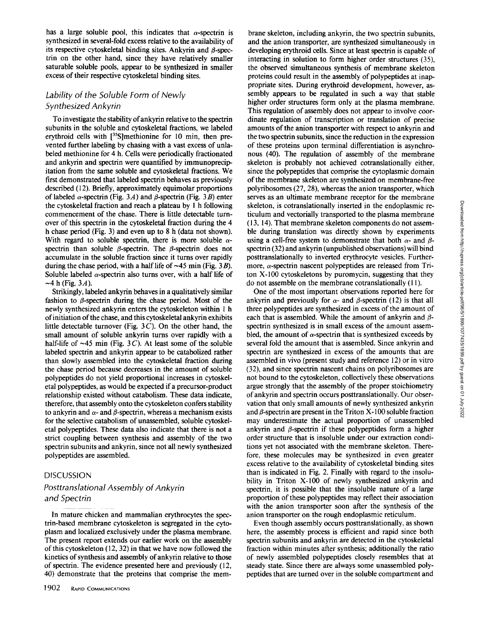Downloaded from http://rupress.org/jcb/article-pdf/98/5/1899/1077435/1899.pdf by guest on 01 July 2022 Downloaded from http://rupress.org/jcb/article-pdf/98/5/1899/1077435/1899.pdf by guest on 01 July 2022

has a large soluble pool, this indicates that  $\alpha$ -spectrin is synthesized in several-fold excess relative to the availability of its respective cytoskeletal binding sites. Ankyrin and ß-spectrin on the other hand, since they have relatively smaller saturable soluble pools, appear to be synthesized in smaller excess of their respective cytoskeletal binding sites.

### Lability of the Soluble Form of Newly Synthesized Ankyrin

To investigate the stability of ankyrin relative to the spectrin subunits in the soluble and cytoskeletal fractions, we labeled erythroid cells with  $[$ <sup>35</sup>S]methionine for 10 min, then prevented further labeling by chasing with a vast excess of unlabeled methionine for 4 h. Cells were periodically fractionated and ankyrin and spectrin were quantified by immunoprecipitation from the same soluble and cytoskeletal fractions. We first demonstrated that labeled spectrin behaves as previously described (12). Briefly, approximately equimolar proportions of labeled  $\alpha$ -spectrin (Fig. 3A) and  $\beta$ -spectrin (Fig. 3B) enter the cytoskeletal fraction and reach a plateau by <sup>1</sup> h following commencement of the chase. There is little detectable turnover of this spectrin in the cytoskeletal fraction during the 4 h chase period (Fig. 3) and even up to  $8$  h (data not shown). With regard to soluble spectrin, there is more soluble  $\alpha$ spectrin than soluble  $\beta$ -spectrin. The  $\beta$ -spectrin does not accumulate in the soluble fraction since it turns over rapidly during the chase period, with a half life of  $\sim$ 45 min (Fig. 3*B*). Soluble labeled  $\alpha$ -spectrin also turns over, with a half life of  $\sim$ 4 h (Fig. 3A).

Strikingly, labeled ankyrin behaves in a qualitatively similar fashion to  $\beta$ -spectrin during the chase period. Most of the newly synthesized ankyrin enters the cytoskeleton within <sup>1</sup> h of initiation of the chase, and this cytoskeletal ankyrin exhibits little detectable turnover (Fig.  $3C$ ). On the other hand, the small amount of soluble ankyrin turns over rapidly with a half-life of  $\sim$ 45 min (Fig. 3C). At least some of the soluble labeled spectrin and ankyrin appear to be catabolized rather than slowly assembled into the cytoskeletal fraction during the chase period because decreases in the amount of soluble polypeptides do not yield proportional increases in cytoskeletal polypeptides, as would be expected if a precursor-product relationship existed without catabolism. These data indicate, therefore, that assembly onto the cytoskeleton confers stability to ankyrin and  $\alpha$ - and  $\beta$ -spectrin, whereas a mechanism exists for the selective catabolism of unassembled, soluble cytoskeletal polypeptides. These data also indicate that there is not a strict coupling between synthesis and assembly of the two spectrin subunits and ankyrin, since not all newly synthesized polypeptides are assembled .

#### **DISCUSSION**

# Posttranslational Assembly of Ankyrin and Spectrin

In mature chicken and mammalian erythrocytes the spectrin-based membrane cytoskeleton is segregated in the cytoplasm and localized exclusively under the plasma membrane. The present report extends our earlier work on the assembly of this cytoskeleton (12, 32) in that we have now followed the kinetics of synthesis and assembly of ankyrin relative to those of spectrin. The evidence presented here and previously  $(12, 12)$ 40) demonstrate that the proteins that comprise the mem-

1902 RAPID COMMUNICATIONS

brane skeleton, including ankyrin, the two spectrin subunits, and the anion transporter, are synthesized simultaneously in developing erythroid cells. Since at least spectrin is capable of interacting in solution to form higher order structures (35), the observed simultaneous synthesis of membrane skeleton proteins could result in the assembly of polypeptides at inappropriate sites. During erythroid development, however, assembly appears to be regulated in such a way that stable higher order structures form only at the plasma membrane. This regulation of assembly does not appear to involve coordinate regulation of transcription or translation of precise amounts of the anion transporter with respect to ankyrin and the two spectrin subunits, since the reduction in the expression of these proteins upon terminal differentiation is asynchronous (40). The regulation of assembly of the membrane skeleton is probably not achieved cotranslationally either, since the polypeptides that comprise the cytoplasmic domain of the membrane skeleton are synthesized on membrane-free polyribosomes (27, 28), whereas the anion transporter, which serves as an ultimate membrane receptor for the membrane skeleton, is cotranslationally inserted in the endoplasmic reticulum and vectorially transported to the plasma membrane (13, 14) . That membrane skeleton components do not assemble during translation was directly shown by experiments using a cell-free system to demonstrate that both  $\alpha$ - and  $\beta$ spectrin (32) and ankyrin (unpublished observations) will bind posttranslationally to inverted erythrocyte vesicles. Furthermore,  $\alpha$ -spectrin nascent polypeptides are released from Triton X-100 cytoskeletons by puromycin, suggesting that they do not assemble on the membrane cotranslationally (11) .

One of the most important observations reported here for ankyrin and previously for  $\alpha$ - and  $\beta$ -spectrin (12) is that all three polypeptides are synthesized in excess of the amount of each that is assembled. While the amount of ankyrin and  $\beta$ spectrin synthesized is in small excess of the amount assembled, the amount of  $\alpha$ -spectrin that is synthesized exceeds by several fold the amount that is assembled. Since ankyrin and spectrin are synthesized in excess of the amounts that are assembled in vivo (present study and reference 12) or in vitro (32), and since spectrin nascent chains on polyribosomes are not bound to the cytoskeleton, collectively these observations argue strongly that the assembly of the proper stoichiometry of ankyrin and spectrin occurs posttranslationally . Our observation that only small amounts of newly synthesized ankyrin and  $\beta$ -spectrin are present in the Triton X-100 soluble fraction may underestimate the actual proportion of unassembled ankyrin and  $\beta$ -spectrin if these polypeptides form a higher order structure that is insoluble under our extraction conditions yet not associated with the membrane skeleton. Therefore, these molecules may be synthesized in even greater excess relative to the availability of cytoskeletal binding sites than is indicated in Fig. 2. Finally with regard to the insolubility in Triton X-100 of newly synthesized ankyrin and spectrin, it is possible that the insoluble nature of a large proportion of these polypeptides may reflect their association with the anion transporter soon after the synthesis of the anion transporter on the rough endoplasmic reticulum .

Even though assembly occurs posttranslationally, as shown here, the assembly process is efficient and rapid since both spectrin subunits and ankyrin are detected in the cytoskeletal fraction within minutes after synthesis; additionally the ratio of newly assembled polypeptides closely resembles that at steady state. Since there are always some unassembled polypeptides that are turned over in the soluble compartment and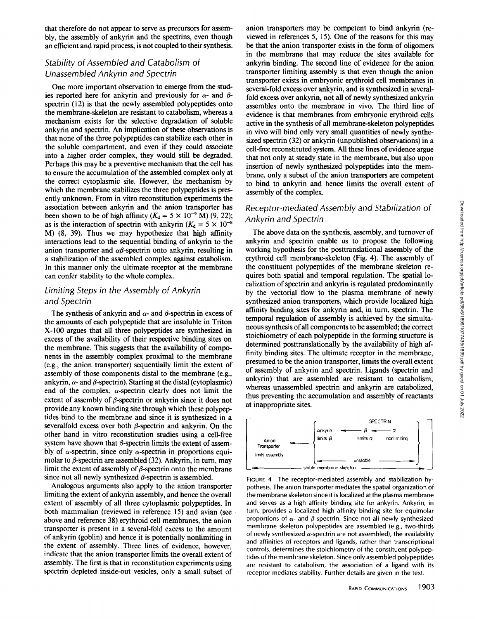that therefore do not appear to serve as precursors for assembly, the assembly of ankyrin and the spectrins, even though an efficient and rapid process, is not coupled to their synthesis .

## Stability of Assembled and Catabolism of Unassembled Ankyrin and Spectrin

One more important observation to emerge from the studies reported here for ankyrin and previously for  $\alpha$ - and  $\beta$ spectrin (12) is that the newly assembled polypeptides onto the membrane-skeleton are resistant to catabolism, whereas a mechanism exists for the selective degradation of soluble ankyrin and spectrin. An implication of these observations is that none of the three polypeptides can stabilize each other in the soluble compartment, and even if they could associate into a higher order complex, they would still be degraded. Perhaps this may be a preventive mechanism that the cell has to ensure the accumulation of the assembled complex only at the correct cytoplasmic site. However, the mechanism by which the membrane stabilizes the three polypeptides is presently unknown. From in vitro reconstitution experiments the association between ankyrin and the anion transporter has been shown to be of high affinity ( $K_d = 5 \times 10^{-9}$  M) (9, 22); as is the interaction of spectrin with ankyrin ( $K_d = 5 \times 10^{-8}$ ) M) (8, 39) . Thus we may hypothesize that high affinity interactions lead to the sequential binding of ankyrin to the anion transporter and  $\alpha\beta$ -spectrin onto ankyrin, resulting in a stabilization of the assembled complex against catabolism. In this manner only the ultimate receptor at the membrane can confer stability to the whole complex.

## Limiting Steps in the Assembly of Ankyrin and Spectrin

The synthesis of ankyrin and  $\alpha$ - and  $\beta$ -spectrin in excess of the amounts of each polypeptide that are insoluble in Triton X-100 argues that all three polypeptides are synthesized in excess of the availability of their respective binding sites on the membrane. This suggests that the availability of components in the assembly complex proximal to the membrane (e .g., the anion transporter) sequentially limit the extent of assembly of those components distal to the membrane (e.g., ankyrin,  $\alpha$ - and  $\beta$ -spectrin). Starting at the distal (cytoplasmic) end of the complex,  $\alpha$ -spectrin clearly does not limit the extent of assembly of  $\beta$ -spectrin or ankyrin since it does not provide any known binding site through which these polypeptides bind to the membrane and since it is synthesized in a severalfold excess over both  $\beta$ -spectrin and ankyrin. On the other hand in vitro reconstitution studies using a cell-free system have shown that  $\beta$ -spectrin limits the extent of assembly of  $\alpha$ -spectrin, since only  $\alpha$ -spectrin in proportions equimolar to  $\beta$ -spectrin are assembled (32). Ankyrin, in turn, may limit the extent of assembly of  $\beta$ -spectrin onto the membrane since not all newly synthesized  $\beta$ -spectrin is assembled.

Analogous arguments also apply to the anion transporter limiting the extent of ankyrin assembly, and hence the overall extent of assembly of all three cytoplasmic polypeptides. In both mammalian (reviewed in reference 15) and avian (see above and reference 38) erythroid cell membranes, the anion transporter is present in a several-fold excess to the amount of ankyrin (goblin) and hence it is potentially nonlimiting in the extent of assembly. Three lines of evidence, however, indicate that the anion transporter limits the overall extent of assembly. The first is that in reconstitution experiments using spectrin depleted inside-out vesicles, only a small subset of

anion transporters may be competent to bind ankyrin (reviewed in references 5, 15) . One of the reasons for this may be that the anion transporter exists in the form of oligomers in the membrane that may reduce the sites available for ankyrin binding. The second line of evidence for the anion transporter limiting assembly is that even though the anion transporter exists in embryonic erythroid cell membranes in several-fold excess over ankyrin, and is synthesized in severalfold excess over ankyrin, not all of newly synthesized ankyrin assembles onto the membrane in vivo. The third line of evidence is that membranes from embryonic erythroid cells active in the synthesis of all membrane-skeleton polypeptides in vivo will bind only very small quantities of newly synthesized spectrin (32) or ankyrin (unpublished observations) in a cell-free reconstituted system. All these lines of evidence argue that not only at steady state in the membrane, but also upon insertion of newly synthesized polypeptides into the membrane, only a subset of the anion transporters are competent to bind to ankyrin and hence limits the overall extent of assembly of the complex.

## Receptor-mediated Assembly and Stabilization of Ankyrin and Spectrin

The above data on the synthesis, assembly, and turnover of ankyrin and spectrin enable us to propose the following working hypothesis for the posttranslational assembly of the erythroid cell membrane-skeleton (Fig. 4) . The assembly of the constituent polypeptides of the membrane skeleton requires both spatial and temporal regulation. The spatial localization of spectrin and ankyrin is regulated predominantly by the vectorial flow to the plasma membrane of newly synthesized anion transporters, which provide localized high affinity binding sites for ankyrin and, in turn, spectrin . The temporal regulation of assembly is achieved by the simultaneous synthesis of all components to be assembled; the correct stoichiometry of each polypeptide in the forming structure is determined posttranslationally by the availability of high affinity binding sites. The ultimate receptor in the membrane, presumed to be the anion transporter, limits the overall extent of assembly of ankyrin and spectrin. Ligands (spectrin and ankyrin) that are assembled are resistant to catabolism, whereas unassembled spectrin and ankyrin are catabolized, thus preventing the accumulation and assembly of reactants at inappropriate sites.



FIGURE 4 The receptor-mediated assembly and stabilization hypothesis. The anion transporter mediates the spatial organization of the membrane skeleton since it is localized at the plasma membrane and serves as a high affinity binding site for ankyrin. Ankyrin, in turn, provides a localized high affinity binding site for equimolar proportions of  $\alpha$ - and  $\beta$ -spectrin. Since not all newly synthesized membrane skeleton polypeptides are assembled (e.g., two-thirds of newly synthesized  $\alpha$ -spectrin are not assembled), the availability and affinities of receptors and ligands, rather than transcriptional controls, determines the stoichiometry of the constituent polypeptides of the membrane skeleton. Since only assembled polypeptides are resistant to catabolism, the association of a ligand with its receptor mediates stability. Further details are given in the text.